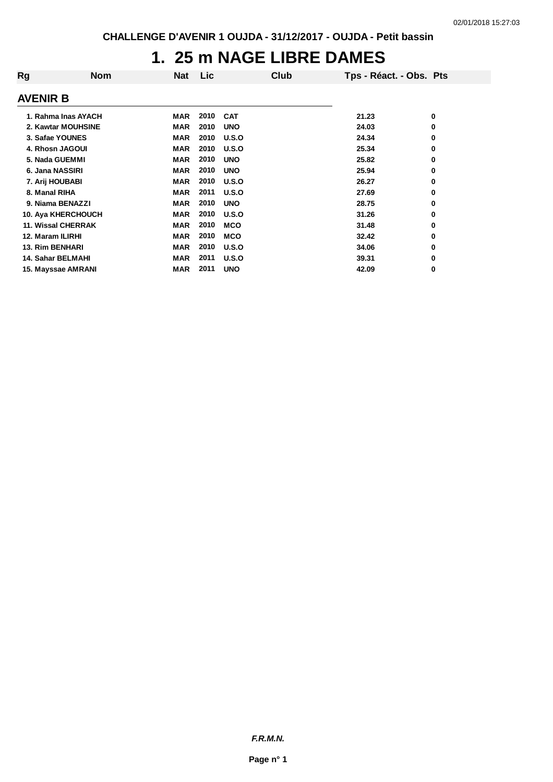# **1. 25 m NAGE LIBRE DAMES**

| Rg                     | <b>Nom</b>                | Nat        | Lic. | Club       |       | Tps - Réact. - Obs. Pts |   |
|------------------------|---------------------------|------------|------|------------|-------|-------------------------|---|
| AVENIR B               |                           |            |      |            |       |                         |   |
|                        | 1. Rahma Inas AYACH       | MAR        | 2010 | <b>CAT</b> | 21.23 |                         | 0 |
|                        |                           |            |      |            |       |                         |   |
|                        | 2. Kawtar MOUHSINE        | <b>MAR</b> | 2010 | <b>UNO</b> | 24.03 |                         | 0 |
| 3. Safae YOUNES        |                           | <b>MAR</b> | 2010 | U.S.O      | 24.34 |                         | 0 |
| 4. Rhosn JAGOUI        |                           | <b>MAR</b> | 2010 | U.S.O      | 25.34 |                         | 0 |
| 5. Nada GUEMMI         |                           | <b>MAR</b> | 2010 | <b>UNO</b> | 25.82 |                         | 0 |
| 6. Jana NASSIRI        |                           | <b>MAR</b> | 2010 | <b>UNO</b> | 25.94 |                         | 0 |
| 7. Arij HOUBABI        |                           | <b>MAR</b> | 2010 | U.S.O      | 26.27 |                         | 0 |
| 8. Manal RIHA          |                           | <b>MAR</b> | 2011 | U.S.O      | 27.69 |                         | 0 |
| 9. Niama BENAZZI       |                           | <b>MAR</b> | 2010 | <b>UNO</b> | 28.75 |                         | 0 |
|                        | <b>10. Aya KHERCHOUCH</b> | <b>MAR</b> | 2010 | U.S.O      | 31.26 |                         | 0 |
|                        | <b>11. Wissal CHERRAK</b> | <b>MAR</b> | 2010 | <b>MCO</b> | 31.48 |                         | 0 |
| 12. Maram ILIRHI       |                           | <b>MAR</b> | 2010 | <b>MCO</b> | 32.42 |                         | 0 |
| <b>13. Rim BENHARI</b> |                           | <b>MAR</b> | 2010 | U.S.O      | 34.06 |                         | 0 |
| 14. Sahar BELMAHI      |                           | <b>MAR</b> | 2011 | U.S.O      | 39.31 |                         | 0 |
|                        | 15. Mayssae AMRANI        | MAR        | 2011 | <b>UNO</b> | 42.09 |                         | 0 |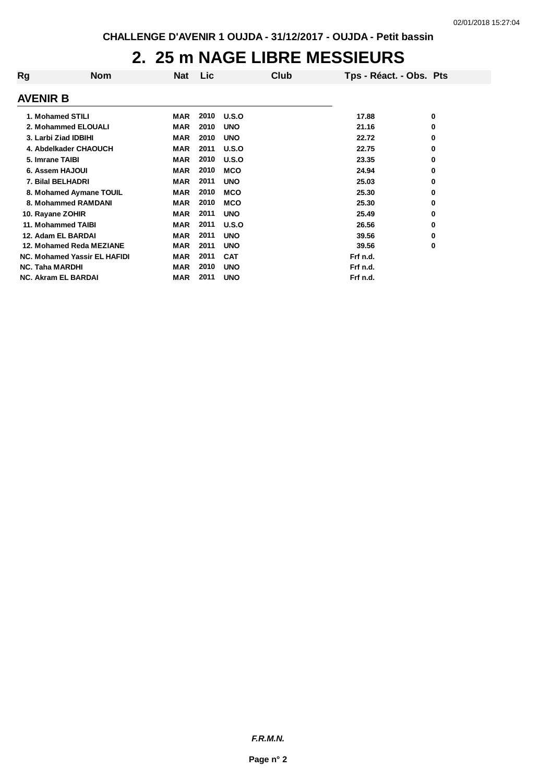#### **2. 25 m NAGE LIBRE MESSIEURS**

| Rg                     | <b>Nom</b>                          | Nat        | Lic  | Club       | Tps - Réact. - Obs. Pts |   |
|------------------------|-------------------------------------|------------|------|------------|-------------------------|---|
| <b>AVENIR B</b>        |                                     |            |      |            |                         |   |
|                        | 1. Mohamed STILI                    | MAR        | 2010 | U.S.O      | 17.88                   | 0 |
|                        | 2. Mohammed ELOUALI                 | <b>MAR</b> | 2010 | <b>UNO</b> | 21.16                   | 0 |
|                        | 3. Larbi Ziad IDBIHI                | <b>MAR</b> | 2010 | <b>UNO</b> | 22.72                   | 0 |
|                        | 4. Abdelkader CHAOUCH               | <b>MAR</b> | 2011 | U.S.O      | 22.75                   | 0 |
| 5. Imrane TAIBI        |                                     | <b>MAR</b> | 2010 | U.S.O      | 23.35                   | 0 |
|                        | 6. Assem HAJOUI                     | <b>MAR</b> | 2010 | <b>MCO</b> | 24.94                   | 0 |
|                        | 7. Bilal BELHADRI                   | <b>MAR</b> | 2011 | <b>UNO</b> | 25.03                   | 0 |
|                        | 8. Mohamed Aymane TOUIL             | <b>MAR</b> | 2010 | <b>MCO</b> | 25.30                   | 0 |
|                        | 8. Mohammed RAMDANI                 | <b>MAR</b> | 2010 | <b>MCO</b> | 25.30                   | 0 |
|                        | 10. Rayane ZOHIR                    | MAR        | 2011 | <b>UNO</b> | 25.49                   | 0 |
|                        | 11. Mohammed TAIBI                  | <b>MAR</b> | 2011 | U.S.O      | 26.56                   | 0 |
|                        | 12. Adam EL BARDAI                  | <b>MAR</b> | 2011 | <b>UNO</b> | 39.56                   | 0 |
|                        | 12. Mohamed Reda MEZIANE            | <b>MAR</b> | 2011 | <b>UNO</b> | 39.56                   | 0 |
|                        | <b>NC. Mohamed Yassir EL HAFIDI</b> | <b>MAR</b> | 2011 | <b>CAT</b> | Frf n.d.                |   |
| <b>NC. Taha MARDHI</b> |                                     | <b>MAR</b> | 2010 | <b>UNO</b> | Frf n.d.                |   |
|                        | <b>NC. Akram EL BARDAI</b>          | MAR        | 2011 | <b>UNO</b> | Frf n.d.                |   |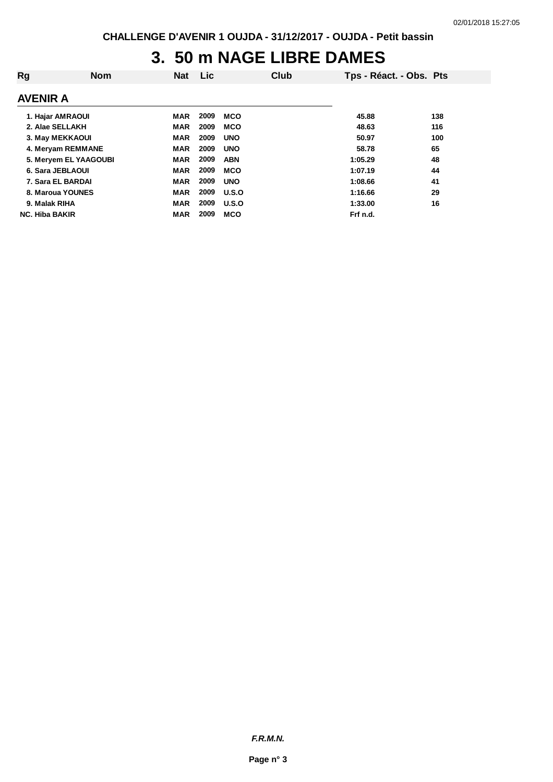# **3. 50 m NAGE LIBRE DAMES**

| Rg                    | <b>Nom</b> | <b>Nat</b> | Lic  |              | Club | Tps - Réact. - Obs. Pts |     |
|-----------------------|------------|------------|------|--------------|------|-------------------------|-----|
| AVENIR A              |            |            |      |              |      |                         |     |
| 1. Hajar AMRAOUI      |            | <b>MAR</b> | 2009 | <b>MCO</b>   |      | 45.88                   | 138 |
| 2. Alae SELLAKH       |            | <b>MAR</b> | 2009 | <b>MCO</b>   |      | 48.63                   | 116 |
| 3. May MEKKAOUI       |            | <b>MAR</b> | 2009 | <b>UNO</b>   |      | 50.97                   | 100 |
| 4. Meryam REMMANE     |            | <b>MAR</b> | 2009 | <b>UNO</b>   |      | 58.78                   | 65  |
| 5. Meryem EL YAAGOUBI |            | <b>MAR</b> | 2009 | <b>ABN</b>   |      | 1:05.29                 | 48  |
| 6. Sara JEBLAOUI      |            | <b>MAR</b> | 2009 | <b>MCO</b>   |      | 1:07.19                 | 44  |
| 7. Sara EL BARDAI     |            | <b>MAR</b> | 2009 | <b>UNO</b>   |      | 1:08.66                 | 41  |
| 8. Maroua YOUNES      |            | <b>MAR</b> | 2009 | <b>U.S.O</b> |      | 1:16.66                 | 29  |
| 9. Malak RIHA         |            | <b>MAR</b> | 2009 | U.S.O        |      | 1:33.00                 | 16  |
| <b>NC. Hiba BAKIR</b> |            | <b>MAR</b> | 2009 | <b>MCO</b>   |      | Frf n.d.                |     |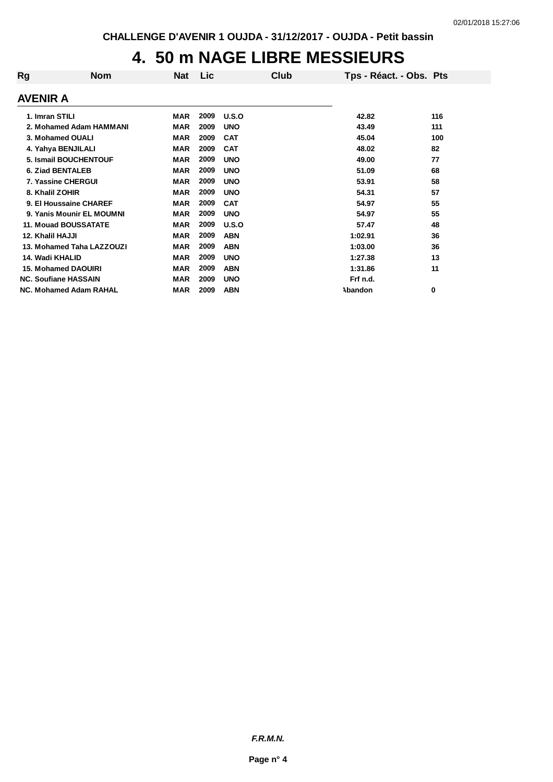#### **4. 50 m NAGE LIBRE MESSIEURS**

| Rg               | <b>Nom</b>                    | Nat        | Lic  | Club         | Tps - Réact. - Obs. Pts |     |
|------------------|-------------------------------|------------|------|--------------|-------------------------|-----|
| AVENIR A         |                               |            |      |              |                         |     |
| 1. Imran STILI   |                               | MAR        | 2009 | <b>U.S.O</b> | 42.82                   | 116 |
|                  | 2. Mohamed Adam HAMMANI       | MAR        | 2009 | <b>UNO</b>   | 43.49                   | 111 |
|                  | 3. Mohamed OUALI              | MAR        | 2009 | <b>CAT</b>   | 45.04                   | 100 |
|                  | 4. Yahya BENJILALI            | <b>MAR</b> | 2009 | <b>CAT</b>   | 48.02                   | 82  |
|                  | 5. Ismail BOUCHENTOUF         | <b>MAR</b> | 2009 | <b>UNO</b>   | 49.00                   | 77  |
|                  | <b>6. Ziad BENTALEB</b>       | <b>MAR</b> | 2009 | <b>UNO</b>   | 51.09                   | 68  |
|                  | 7. Yassine CHERGUI            | <b>MAR</b> | 2009 | <b>UNO</b>   | 53.91                   | 58  |
| 8. Khalil ZOHIR  |                               | <b>MAR</b> | 2009 | <b>UNO</b>   | 54.31                   | 57  |
|                  | 9. El Houssaine CHAREF        | <b>MAR</b> | 2009 | <b>CAT</b>   | 54.97                   | 55  |
|                  | 9. Yanis Mounir EL MOUMNI     | <b>MAR</b> | 2009 | <b>UNO</b>   | 54.97                   | 55  |
|                  | <b>11. Mouad BOUSSATATE</b>   | <b>MAR</b> | 2009 | U.S.O        | 57.47                   | 48  |
| 12. Khalil HAJJI |                               | <b>MAR</b> | 2009 | <b>ABN</b>   | 1:02.91                 | 36  |
|                  | 13. Mohamed Taha LAZZOUZI     | <b>MAR</b> | 2009 | <b>ABN</b>   | 1:03.00                 | 36  |
| 14. Wadi KHALID  |                               | <b>MAR</b> | 2009 | <b>UNO</b>   | 1:27.38                 | 13  |
|                  | <b>15. Mohamed DAOUIRI</b>    | <b>MAR</b> | 2009 | <b>ABN</b>   | 1:31.86                 | 11  |
|                  | <b>NC. Soufiane HASSAIN</b>   | <b>MAR</b> | 2009 | <b>UNO</b>   | Frf n.d.                |     |
|                  | <b>NC. Mohamed Adam RAHAL</b> | <b>MAR</b> | 2009 | <b>ABN</b>   | Abandon                 | 0   |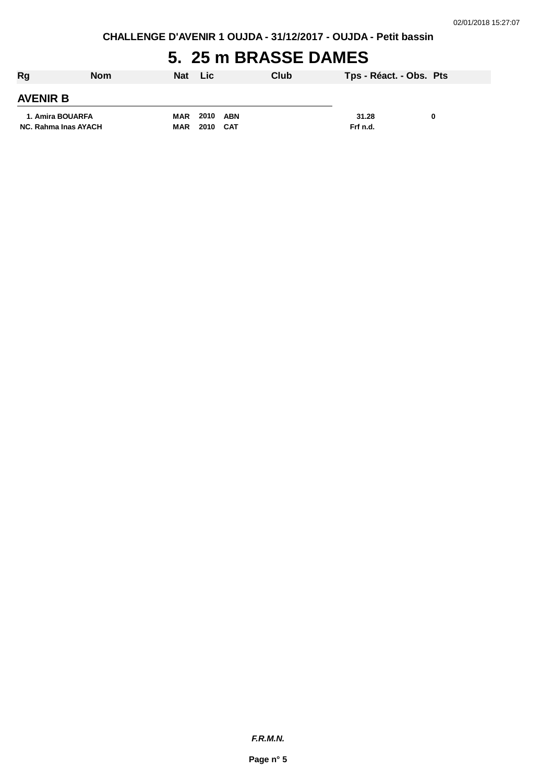**CHALLENGE D'AVENIR 1 OUJDA - 31/12/2017 - OUJDA - Petit bassin**

### **5. 25 m BRASSE DAMES**

| Rg                   | <b>Nom</b> | Nat        | <b>Lic</b> | Club | Tps - Réact. - Obs. Pts |   |
|----------------------|------------|------------|------------|------|-------------------------|---|
| <b>AVENIR B</b>      |            |            |            |      |                         |   |
| 1. Amira BOUARFA     |            | <b>MAR</b> | 2010       | ABN  | 31.28                   | 0 |
| NC. Rahma Inas AYACH |            | <b>MAR</b> | 2010       | CAT  | Frf n.d.                |   |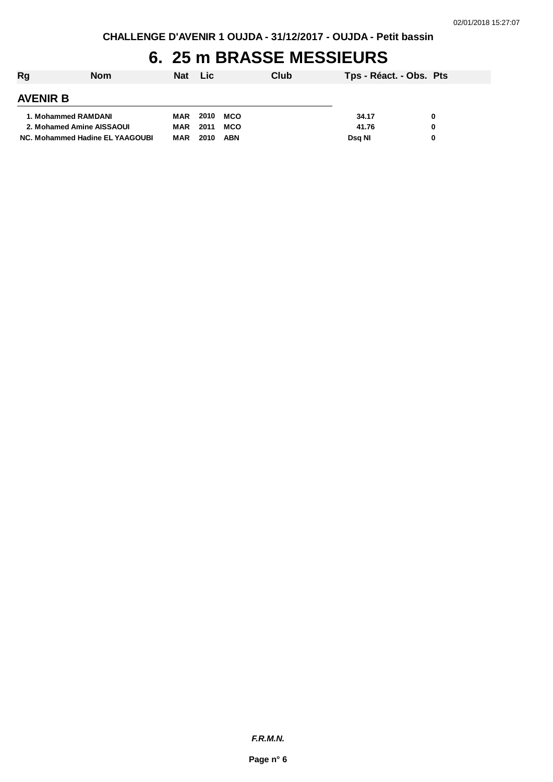# **6. 25 m BRASSE MESSIEURS**

| Rg              | <b>Nom</b>                      | Nat        | <b>Lic</b> |            | Club | Tps - Réact. - Obs. Pts |   |
|-----------------|---------------------------------|------------|------------|------------|------|-------------------------|---|
| <b>AVENIR B</b> |                                 |            |            |            |      |                         |   |
|                 | 1. Mohammed RAMDANI             | MAR        | 2010       | <b>MCO</b> |      | 34.17                   | 0 |
|                 | 2. Mohamed Amine AISSAOUI       | MAR        | 2011       | <b>MCO</b> |      | 41.76                   | 0 |
|                 | NC. Mohammed Hadine EL YAAGOUBI | <b>MAR</b> | 2010       | ABN        |      | Dsa NI                  | 0 |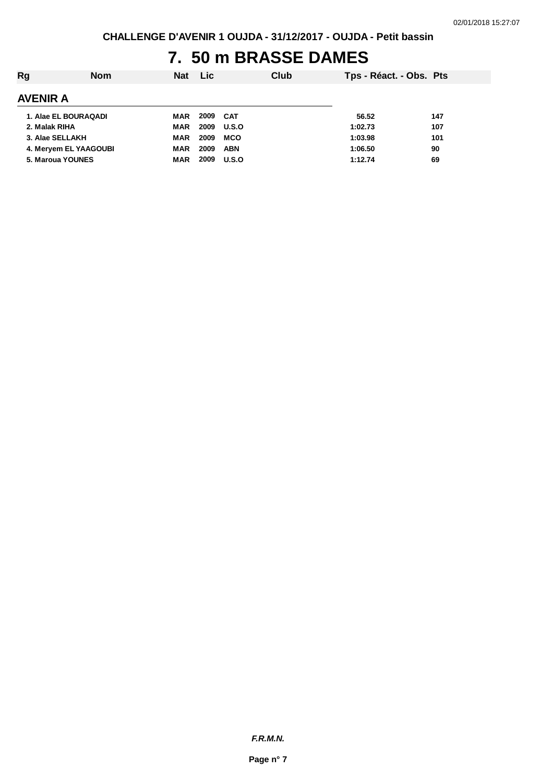# **7. 50 m BRASSE DAMES**

| Rg              | <b>Nom</b>            | <b>Nat</b> | <b>Lic</b> |            | Club | Tps - Réact. - Obs. Pts |     |
|-----------------|-----------------------|------------|------------|------------|------|-------------------------|-----|
| <b>AVENIR A</b> |                       |            |            |            |      |                         |     |
|                 | 1. Alae EL BOURAQADI  | MAR        | 2009       | CAT        |      | 56.52                   | 147 |
| 2. Malak RIHA   |                       | MAR        | 2009       | U.S.O      |      | 1:02.73                 | 107 |
|                 | 3. Alae SELLAKH       | MAR        | 2009       | <b>MCO</b> |      | 1:03.98                 | 101 |
|                 | 4. Mervem EL YAAGOUBI | <b>MAR</b> | 2009       | <b>ABN</b> |      | 1:06.50                 | 90  |
|                 | 5. Maroua YOUNES      | MAR        | 2009       | U.S.O      |      | 1:12.74                 | 69  |
|                 |                       |            |            |            |      |                         |     |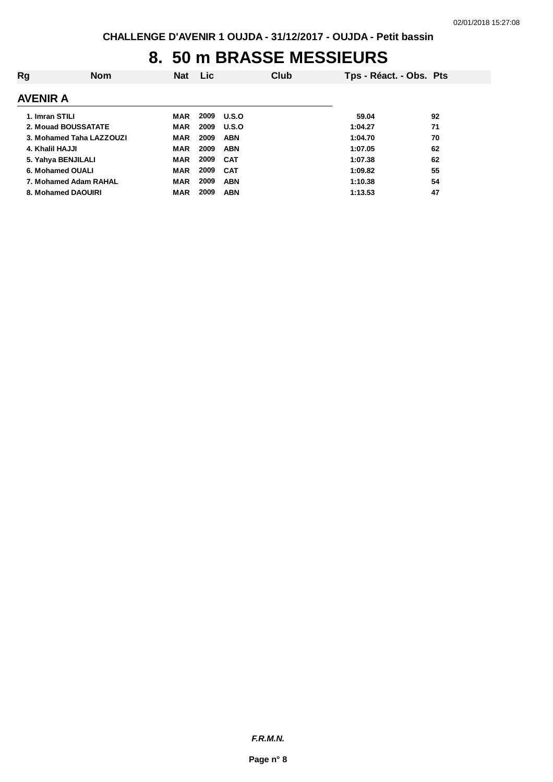# **8. 50 m BRASSE MESSIEURS**

| Rg              | <b>Nom</b>               | <b>Nat</b> | <b>Lic</b> | Club         | Tps - Réact. - Obs. Pts |    |
|-----------------|--------------------------|------------|------------|--------------|-------------------------|----|
| AVENIR A        |                          |            |            |              |                         |    |
| 1. Imran STILI  |                          | MAR        | 2009       | <b>U.S.O</b> | 59.04                   | 92 |
|                 | 2. Mouad BOUSSATATE      | MAR        | 2009       | <b>U.S.O</b> | 1:04.27                 | 71 |
|                 | 3. Mohamed Taha LAZZOUZI | <b>MAR</b> | 2009       | <b>ABN</b>   | 1:04.70                 | 70 |
| 4. Khalil HAJJI |                          | <b>MAR</b> | 2009       | <b>ABN</b>   | 1:07.05                 | 62 |
|                 | 5. Yahya BENJILALI       | MAR        | 2009       | <b>CAT</b>   | 1:07.38                 | 62 |
|                 | 6. Mohamed OUALI         | <b>MAR</b> | 2009       | <b>CAT</b>   | 1:09.82                 | 55 |
|                 | 7. Mohamed Adam RAHAL    | <b>MAR</b> | 2009       | <b>ABN</b>   | 1:10.38                 | 54 |
|                 | 8. Mohamed DAOUIRI       | <b>MAR</b> | 2009       | <b>ABN</b>   | 1:13.53                 | 47 |
|                 |                          |            |            |              |                         |    |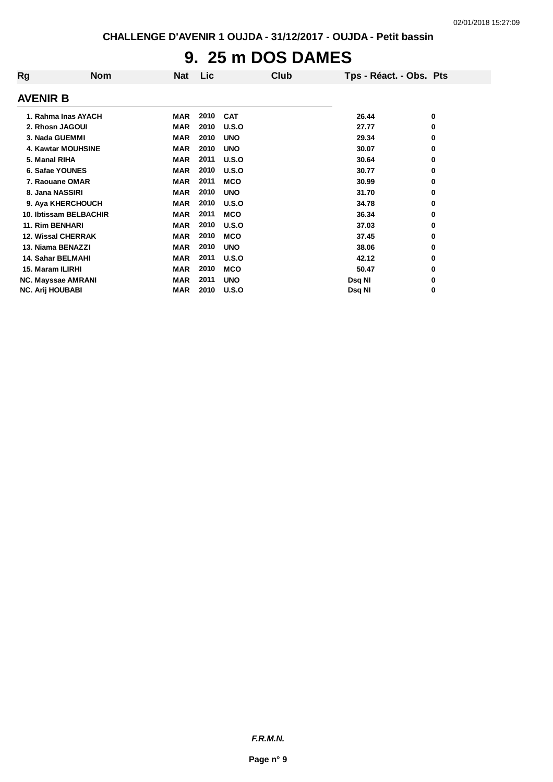# **9. 25 m DOS DAMES**

| Rg                      | <b>Nom</b>                | Nat        | <b>Lic</b> |            | Club | Tps - Réact. - Obs. Pts |   |
|-------------------------|---------------------------|------------|------------|------------|------|-------------------------|---|
| <b>AVENIR B</b>         |                           |            |            |            |      |                         |   |
|                         | 1. Rahma Inas AYACH       | MAR        | 2010       | <b>CAT</b> |      | 26.44                   | 0 |
|                         | 2. Rhosn JAGOUI           | <b>MAR</b> | 2010       | U.S.O      |      | 27.77                   | 0 |
|                         | 3. Nada GUEMMI            | <b>MAR</b> | 2010       | <b>UNO</b> |      | 29.34                   | 0 |
|                         | <b>4. Kawtar MOUHSINE</b> | <b>MAR</b> | 2010       | <b>UNO</b> |      | 30.07                   | 0 |
| 5. Manal RIHA           |                           | <b>MAR</b> | 2011       | U.S.O      |      | 30.64                   | 0 |
|                         | 6. Safae YOUNES           | <b>MAR</b> | 2010       | U.S.O      |      | 30.77                   | 0 |
|                         | 7. Raouane OMAR           | <b>MAR</b> | 2011       | <b>MCO</b> |      | 30.99                   | 0 |
|                         | 8. Jana NASSIRI           | <b>MAR</b> | 2010       | <b>UNO</b> |      | 31.70                   | 0 |
|                         | 9. Aya KHERCHOUCH         | <b>MAR</b> | 2010       | U.S.O      |      | 34.78                   | 0 |
|                         | 10. Ibtissam BELBACHIR    | <b>MAR</b> | 2011       | <b>MCO</b> |      | 36.34                   | 0 |
| <b>11. Rim BENHARI</b>  |                           | <b>MAR</b> | 2010       | U.S.O      |      | 37.03                   | 0 |
|                         | <b>12. Wissal CHERRAK</b> | <b>MAR</b> | 2010       | <b>MCO</b> |      | 37.45                   | 0 |
|                         | 13. Niama BENAZZI         | <b>MAR</b> | 2010       | <b>UNO</b> |      | 38.06                   | 0 |
|                         | 14. Sahar BELMAHI         | <b>MAR</b> | 2011       | U.S.O      |      | 42.12                   | 0 |
| 15. Maram ILIRHI        |                           | <b>MAR</b> | 2010       | <b>MCO</b> |      | 50.47                   | 0 |
|                         | NC. Mayssae AMRANI        | <b>MAR</b> | 2011       | <b>UNO</b> |      | Dsq NI                  | 0 |
| <b>NC. Arij HOUBABI</b> |                           | <b>MAR</b> | 2010       | U.S.O      |      | Dsq NI                  | 0 |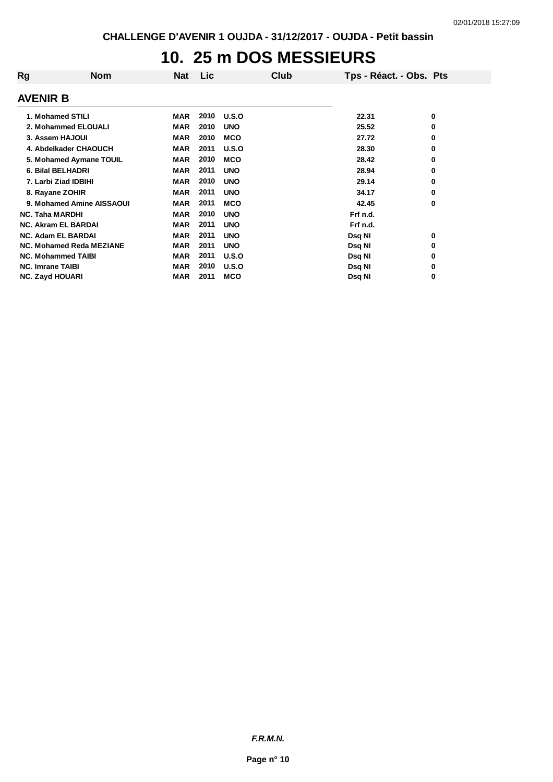# **10. 25 m DOS MESSIEURS**

| Rg                      | <b>Nom</b>                 | <b>Nat</b> | Lic  | Club         | Tps - Réact. - Obs. Pts |   |
|-------------------------|----------------------------|------------|------|--------------|-------------------------|---|
| <b>AVENIR B</b>         |                            |            |      |              |                         |   |
|                         | 1. Mohamed STILI           | MAR        | 2010 | <b>U.S.O</b> | 22.31                   | 0 |
|                         | 2. Mohammed ELOUALI        | MAR        | 2010 | <b>UNO</b>   | 25.52                   | 0 |
|                         | 3. Assem HAJOUI            | <b>MAR</b> | 2010 | <b>MCO</b>   | 27.72                   | 0 |
|                         | 4. Abdelkader CHAOUCH      | <b>MAR</b> | 2011 | U.S.O        | 28.30                   | 0 |
|                         | 5. Mohamed Aymane TOUIL    | <b>MAR</b> | 2010 | <b>MCO</b>   | 28.42                   | 0 |
|                         | 6. Bilal BELHADRI          | <b>MAR</b> | 2011 | <b>UNO</b>   | 28.94                   | 0 |
|                         | 7. Larbi Ziad IDBIHI       | <b>MAR</b> | 2010 | <b>UNO</b>   | 29.14                   | 0 |
|                         | 8. Rayane ZOHIR            | <b>MAR</b> | 2011 | <b>UNO</b>   | 34.17                   | 0 |
|                         | 9. Mohamed Amine AISSAOUI  | <b>MAR</b> | 2011 | <b>MCO</b>   | 42.45                   | 0 |
| <b>NC. Taha MARDHI</b>  |                            | <b>MAR</b> | 2010 | <b>UNO</b>   | Frf n.d.                |   |
|                         | <b>NC. Akram EL BARDAI</b> | <b>MAR</b> | 2011 | <b>UNO</b>   | Frf n.d.                |   |
|                         | <b>NC. Adam EL BARDAI</b>  | <b>MAR</b> | 2011 | <b>UNO</b>   | Dsq NI                  | 0 |
|                         | NC. Mohamed Reda MEZIANE   | <b>MAR</b> | 2011 | <b>UNO</b>   | Dsq NI                  | 0 |
|                         | <b>NC. Mohammed TAIBI</b>  | <b>MAR</b> | 2011 | U.S.O        | Dsq NI                  | 0 |
| <b>NC. Imrane TAIBI</b> |                            | <b>MAR</b> | 2010 | U.S.O        | Dsq NI                  | 0 |
| <b>NC. Zayd HOUARI</b>  |                            | <b>MAR</b> | 2011 | <b>MCO</b>   | Dsq NI                  | 0 |

*F.R.M.N.*

**Page n° 10**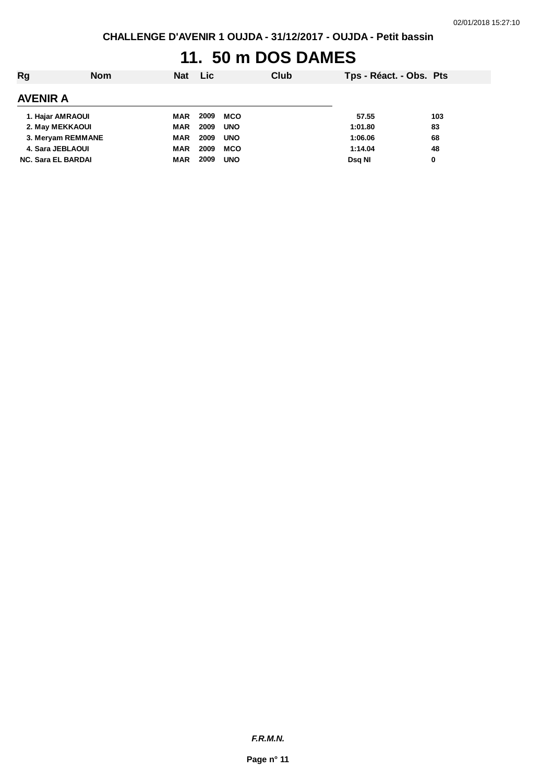# **11. 50 m DOS DAMES**

| Rg                        | <b>Nom</b> | <b>Nat</b> | <b>Lic</b> |            | Club | Tps - Réact. - Obs. Pts |     |
|---------------------------|------------|------------|------------|------------|------|-------------------------|-----|
| <b>AVENIR A</b>           |            |            |            |            |      |                         |     |
| 1. Hajar AMRAOUI          |            | MAR        | 2009       | MCO        |      | 57.55                   | 103 |
| 2. May MEKKAOUI           |            | <b>MAR</b> | 2009       | <b>UNO</b> |      | 1:01.80                 | 83  |
| 3. Meryam REMMANE         |            | <b>MAR</b> | 2009       | <b>UNO</b> |      | 1:06.06                 | 68  |
| 4. Sara JEBLAOUI          |            | <b>MAR</b> | 2009       | <b>MCO</b> |      | 1:14.04                 | 48  |
| <b>NC. Sara EL BARDAI</b> |            | <b>MAR</b> | 2009       | <b>UNO</b> |      | Dsg NI                  | 0   |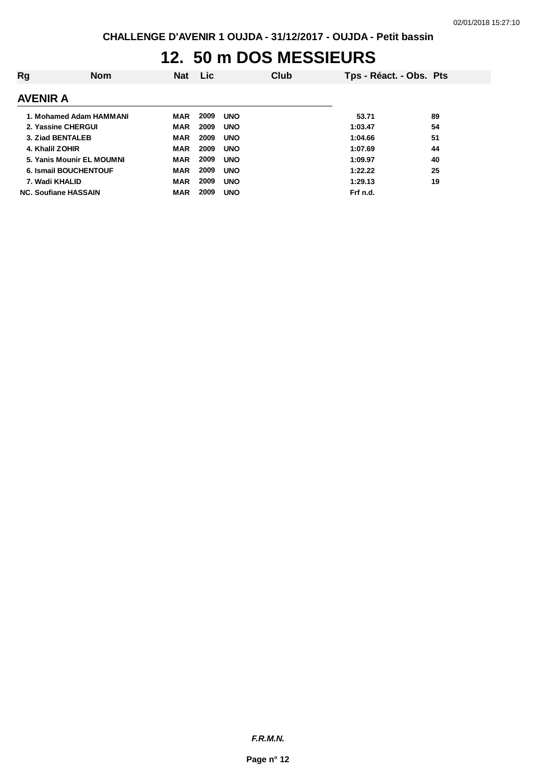# **12. 50 m DOS MESSIEURS**

| Rg                           | <b>Nom</b> | <b>Nat</b> | Lic. |            | Club | Tps - Réact. - Obs. Pts |    |
|------------------------------|------------|------------|------|------------|------|-------------------------|----|
| <b>AVENIR A</b>              |            |            |      |            |      |                         |    |
| 1. Mohamed Adam HAMMANI      |            | MAR        | 2009 | <b>UNO</b> |      | 53.71                   | 89 |
| 2. Yassine CHERGUI           |            | <b>MAR</b> | 2009 | <b>UNO</b> |      | 1:03.47                 | 54 |
| 3. Ziad BENTALEB             |            | <b>MAR</b> | 2009 | <b>UNO</b> |      | 1:04.66                 | 51 |
| 4. Khalil ZOHIR              |            | <b>MAR</b> | 2009 | <b>UNO</b> |      | 1:07.69                 | 44 |
| 5. Yanis Mounir EL MOUMNI    |            | <b>MAR</b> | 2009 | <b>UNO</b> |      | 1:09.97                 | 40 |
| <b>6. Ismail BOUCHENTOUF</b> |            | <b>MAR</b> | 2009 | <b>UNO</b> |      | 1:22.22                 | 25 |
| 7. Wadi KHALID               |            | <b>MAR</b> | 2009 | <b>UNO</b> |      | 1:29.13                 | 19 |
| <b>NC. Soufiane HASSAIN</b>  |            | <b>MAR</b> | 2009 | <b>UNO</b> |      | Frf n.d.                |    |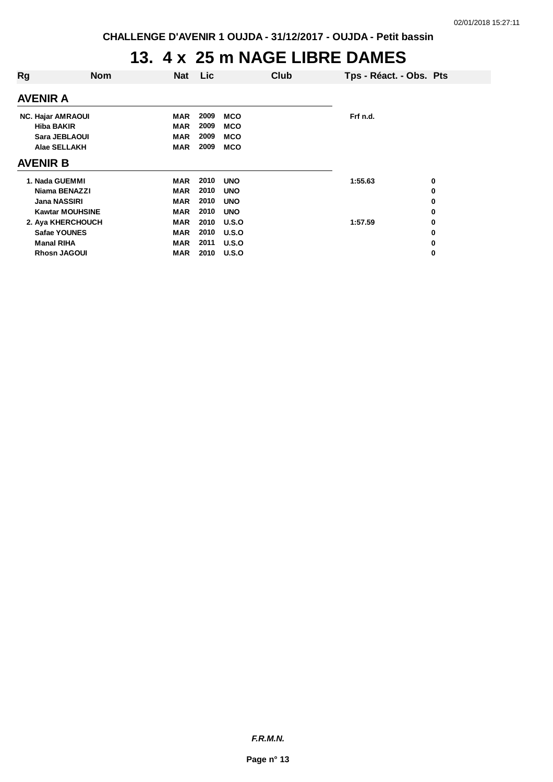#### **13. 4 x 25 m NAGE LIBRE DAMES**

| Rg<br>Lic<br>Club<br><b>Nom</b><br><b>Nat</b><br>Tps - Réact. - Obs. Pts<br><b>AVENIR A</b><br>2009<br>Frf n.d.<br><b>NC. Hajar AMRAOUI</b><br><b>MCO</b><br>MAR<br>2009<br><b>Hiba BAKIR</b><br><b>MCO</b><br>MAR<br>Sara JEBLAOUI<br>2009<br><b>MCO</b><br><b>MAR</b><br>Alae SELLAKH<br>2009<br><b>MAR</b><br><b>MCO</b><br><b>AVENIR B</b><br>1. Nada GUEMMI<br>2010<br><b>UNO</b><br>1:55.63<br>MAR<br>0<br>2010<br>Niama BENAZZI<br><b>MAR</b><br><b>UNO</b><br>0<br><b>Jana NASSIRI</b><br><b>MAR</b><br>2010<br><b>UNO</b><br>0<br><b>Kawtar MOUHSINE</b><br>2010<br><b>MAR</b><br><b>UNO</b><br>0<br>2. Aya KHERCHOUCH<br><b>MAR</b><br>2010<br>U.S.O<br>1:57.59<br>0<br><b>Safae YOUNES</b><br><b>MAR</b><br>2010<br>U.S.O<br>0<br>2011<br><b>Manal RIHA</b><br><b>MAR</b><br>U.S.O<br>0<br><b>Rhosn JAGOUI</b><br><b>MAR</b><br>2010<br>U.S.O<br>0 |  |  |  |  |  |
|---------------------------------------------------------------------------------------------------------------------------------------------------------------------------------------------------------------------------------------------------------------------------------------------------------------------------------------------------------------------------------------------------------------------------------------------------------------------------------------------------------------------------------------------------------------------------------------------------------------------------------------------------------------------------------------------------------------------------------------------------------------------------------------------------------------------------------------------------------------|--|--|--|--|--|
|                                                                                                                                                                                                                                                                                                                                                                                                                                                                                                                                                                                                                                                                                                                                                                                                                                                               |  |  |  |  |  |
|                                                                                                                                                                                                                                                                                                                                                                                                                                                                                                                                                                                                                                                                                                                                                                                                                                                               |  |  |  |  |  |
|                                                                                                                                                                                                                                                                                                                                                                                                                                                                                                                                                                                                                                                                                                                                                                                                                                                               |  |  |  |  |  |
|                                                                                                                                                                                                                                                                                                                                                                                                                                                                                                                                                                                                                                                                                                                                                                                                                                                               |  |  |  |  |  |
|                                                                                                                                                                                                                                                                                                                                                                                                                                                                                                                                                                                                                                                                                                                                                                                                                                                               |  |  |  |  |  |